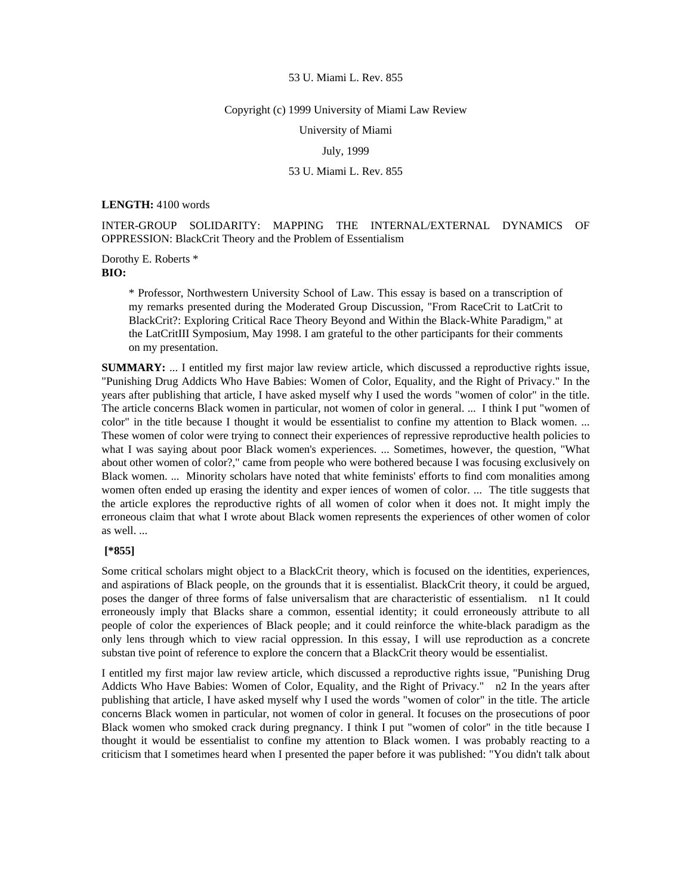### Copyright (c) 1999 University of Miami Law Review

University of Miami

July, 1999

#### 53 U. Miami L. Rev. 855

**LENGTH:** 4100 words

INTER-GROUP SOLIDARITY: MAPPING THE INTERNAL/EXTERNAL DYNAMICS OF OPPRESSION: BlackCrit Theory and the Problem of Essentialism

Dorothy E. Roberts \* **BIO:** 

> \* Professor, Northwestern University School of Law. This essay is based on a transcription of my remarks presented during the Moderated Group Discussion, "From RaceCrit to LatCrit to BlackCrit?: Exploring Critical Race Theory Beyond and Within the Black-White Paradigm," at the LatCritIII Symposium, May 1998. I am grateful to the other participants for their comments on my presentation.

**SUMMARY:** ... I entitled my first major law review article, which discussed a reproductive rights issue, "Punishing Drug Addicts Who Have Babies: Women of Color, Equality, and the Right of Privacy." In the years after publishing that article, I have asked myself why I used the words "women of color" in the title. The article concerns Black women in particular, not women of color in general. ... I think I put "women of color" in the title because I thought it would be essentialist to confine my attention to Black women. ... These women of color were trying to connect their experiences of repressive reproductive health policies to what I was saying about poor Black women's experiences. ... Sometimes, however, the question, "What about other women of color?," came from people who were bothered because I was focusing exclusively on Black women. ... Minority scholars have noted that white feminists' efforts to find com monalities among women often ended up erasing the identity and exper iences of women of color. ... The title suggests that the article explores the reproductive rights of all women of color when it does not. It might imply the erroneous claim that what I wrote about Black women represents the experiences of other women of color as well. ...

# **[\*855]**

Some critical scholars might object to a BlackCrit theory, which is focused on the identities, experiences, and aspirations of Black people, on the grounds that it is essentialist. BlackCrit theory, it could be argued, poses the danger of three forms of false universalism that are characteristic of essentialism. n1 It could erroneously imply that Blacks share a common, essential identity; it could erroneously attribute to all people of color the experiences of Black people; and it could reinforce the white-black paradigm as the only lens through which to view racial oppression. In this essay, I will use reproduction as a concrete substan tive point of reference to explore the concern that a BlackCrit theory would be essentialist.

I entitled my first major law review article, which discussed a reproductive rights issue, "Punishing Drug Addicts Who Have Babies: Women of Color, Equality, and the Right of Privacy." n2 In the years after publishing that article, I have asked myself why I used the words "women of color" in the title. The article concerns Black women in particular, not women of color in general. It focuses on the prosecutions of poor Black women who smoked crack during pregnancy. I think I put "women of color" in the title because I thought it would be essentialist to confine my attention to Black women. I was probably reacting to a criticism that I sometimes heard when I presented the paper before it was published: "You didn't talk about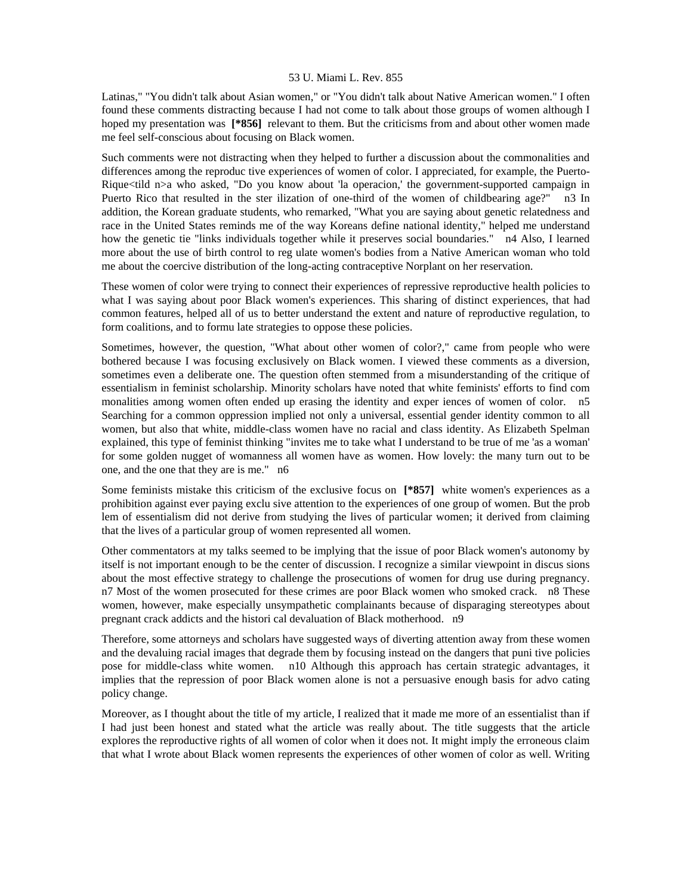Latinas," "You didn't talk about Asian women," or "You didn't talk about Native American women." I often found these comments distracting because I had not come to talk about those groups of women although I hoped my presentation was **[\*856]** relevant to them. But the criticisms from and about other women made me feel self-conscious about focusing on Black women.

Such comments were not distracting when they helped to further a discussion about the commonalities and differences among the reproduc tive experiences of women of color. I appreciated, for example, the Puerto-Rique<tild n>a who asked, "Do you know about 'la operacion,' the government-supported campaign in Puerto Rico that resulted in the ster ilization of one-third of the women of childbearing age?" n3 In addition, the Korean graduate students, who remarked, "What you are saying about genetic relatedness and race in the United States reminds me of the way Koreans define national identity," helped me understand how the genetic tie "links individuals together while it preserves social boundaries." n4 Also, I learned more about the use of birth control to reg ulate women's bodies from a Native American woman who told me about the coercive distribution of the long-acting contraceptive Norplant on her reservation.

These women of color were trying to connect their experiences of repressive reproductive health policies to what I was saying about poor Black women's experiences. This sharing of distinct experiences, that had common features, helped all of us to better understand the extent and nature of reproductive regulation, to form coalitions, and to formu late strategies to oppose these policies.

Sometimes, however, the question, "What about other women of color?," came from people who were bothered because I was focusing exclusively on Black women. I viewed these comments as a diversion, sometimes even a deliberate one. The question often stemmed from a misunderstanding of the critique of essentialism in feminist scholarship. Minority scholars have noted that white feminists' efforts to find com monalities among women often ended up erasing the identity and exper iences of women of color. n5 Searching for a common oppression implied not only a universal, essential gender identity common to all women, but also that white, middle-class women have no racial and class identity. As Elizabeth Spelman explained, this type of feminist thinking "invites me to take what I understand to be true of me 'as a woman' for some golden nugget of womanness all women have as women. How lovely: the many turn out to be one, and the one that they are is me." n6

Some feminists mistake this criticism of the exclusive focus on **[\*857]** white women's experiences as a prohibition against ever paying exclu sive attention to the experiences of one group of women. But the prob lem of essentialism did not derive from studying the lives of particular women; it derived from claiming that the lives of a particular group of women represented all women.

Other commentators at my talks seemed to be implying that the issue of poor Black women's autonomy by itself is not important enough to be the center of discussion. I recognize a similar viewpoint in discus sions about the most effective strategy to challenge the prosecutions of women for drug use during pregnancy. n7 Most of the women prosecuted for these crimes are poor Black women who smoked crack. n8 These women, however, make especially unsympathetic complainants because of disparaging stereotypes about pregnant crack addicts and the histori cal devaluation of Black motherhood. n9

Therefore, some attorneys and scholars have suggested ways of diverting attention away from these women and the devaluing racial images that degrade them by focusing instead on the dangers that puni tive policies pose for middle-class white women. n10 Although this approach has certain strategic advantages, it implies that the repression of poor Black women alone is not a persuasive enough basis for advo cating policy change.

Moreover, as I thought about the title of my article, I realized that it made me more of an essentialist than if I had just been honest and stated what the article was really about. The title suggests that the article explores the reproductive rights of all women of color when it does not. It might imply the erroneous claim that what I wrote about Black women represents the experiences of other women of color as well. Writing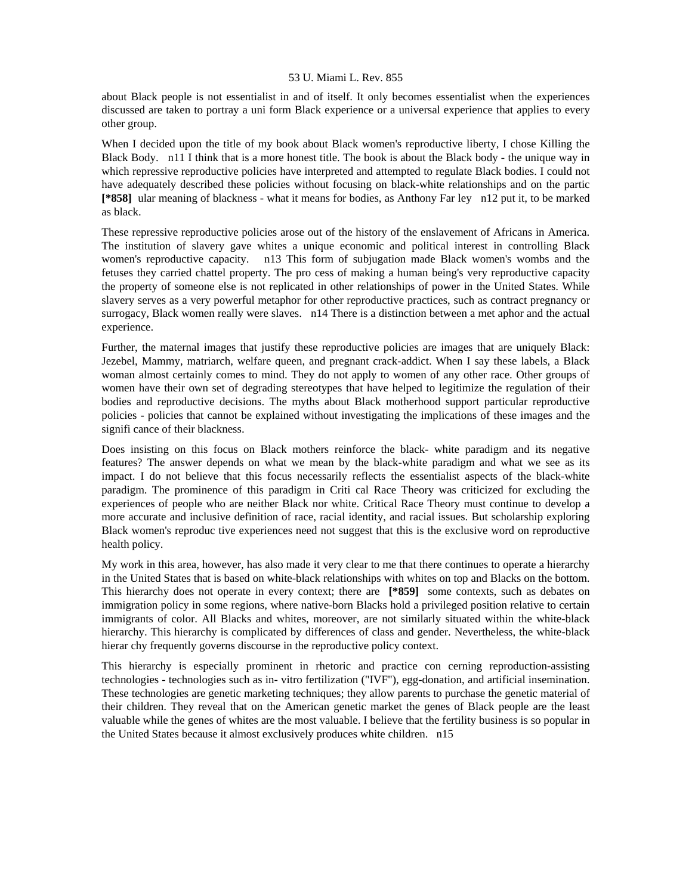about Black people is not essentialist in and of itself. It only becomes essentialist when the experiences discussed are taken to portray a uni form Black experience or a universal experience that applies to every other group.

When I decided upon the title of my book about Black women's reproductive liberty, I chose Killing the Black Body. n11 I think that is a more honest title. The book is about the Black body - the unique way in which repressive reproductive policies have interpreted and attempted to regulate Black bodies. I could not have adequately described these policies without focusing on black-white relationships and on the partic **[\*858]** ular meaning of blackness - what it means for bodies, as Anthony Far ley n12 put it, to be marked as black.

These repressive reproductive policies arose out of the history of the enslavement of Africans in America. The institution of slavery gave whites a unique economic and political interest in controlling Black women's reproductive capacity. n13 This form of subjugation made Black women's wombs and the fetuses they carried chattel property. The pro cess of making a human being's very reproductive capacity the property of someone else is not replicated in other relationships of power in the United States. While slavery serves as a very powerful metaphor for other reproductive practices, such as contract pregnancy or surrogacy, Black women really were slaves. n14 There is a distinction between a met aphor and the actual experience.

Further, the maternal images that justify these reproductive policies are images that are uniquely Black: Jezebel, Mammy, matriarch, welfare queen, and pregnant crack-addict. When I say these labels, a Black woman almost certainly comes to mind. They do not apply to women of any other race. Other groups of women have their own set of degrading stereotypes that have helped to legitimize the regulation of their bodies and reproductive decisions. The myths about Black motherhood support particular reproductive policies - policies that cannot be explained without investigating the implications of these images and the signifi cance of their blackness.

Does insisting on this focus on Black mothers reinforce the black- white paradigm and its negative features? The answer depends on what we mean by the black-white paradigm and what we see as its impact. I do not believe that this focus necessarily reflects the essentialist aspects of the black-white paradigm. The prominence of this paradigm in Criti cal Race Theory was criticized for excluding the experiences of people who are neither Black nor white. Critical Race Theory must continue to develop a more accurate and inclusive definition of race, racial identity, and racial issues. But scholarship exploring Black women's reproduc tive experiences need not suggest that this is the exclusive word on reproductive health policy.

My work in this area, however, has also made it very clear to me that there continues to operate a hierarchy in the United States that is based on white-black relationships with whites on top and Blacks on the bottom. This hierarchy does not operate in every context; there are **[\*859]** some contexts, such as debates on immigration policy in some regions, where native-born Blacks hold a privileged position relative to certain immigrants of color. All Blacks and whites, moreover, are not similarly situated within the white-black hierarchy. This hierarchy is complicated by differences of class and gender. Nevertheless, the white-black hierar chy frequently governs discourse in the reproductive policy context.

This hierarchy is especially prominent in rhetoric and practice con cerning reproduction-assisting technologies - technologies such as in- vitro fertilization ("IVF"), egg-donation, and artificial insemination. These technologies are genetic marketing techniques; they allow parents to purchase the genetic material of their children. They reveal that on the American genetic market the genes of Black people are the least valuable while the genes of whites are the most valuable. I believe that the fertility business is so popular in the United States because it almost exclusively produces white children. n15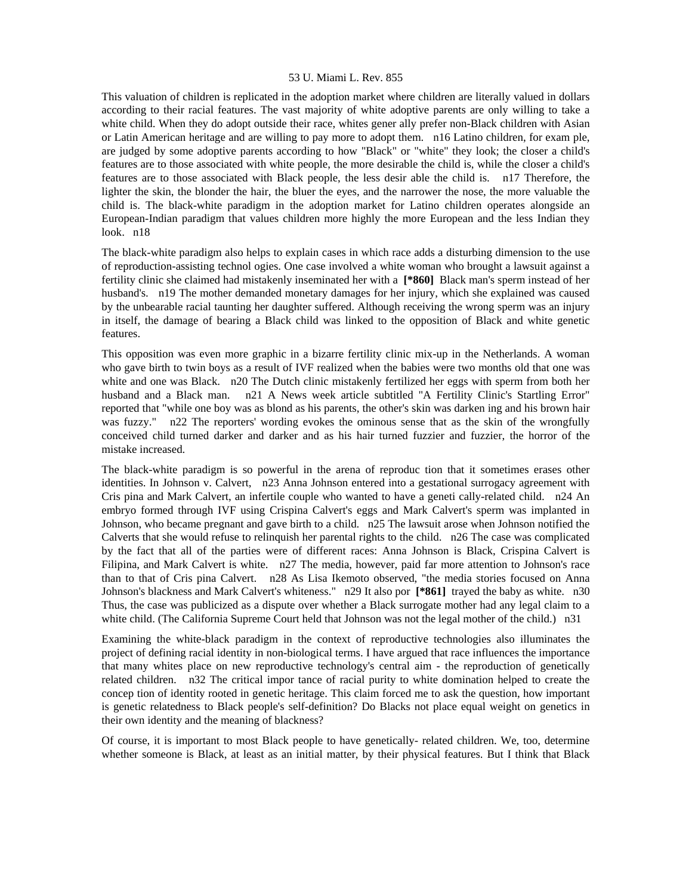This valuation of children is replicated in the adoption market where children are literally valued in dollars according to their racial features. The vast majority of white adoptive parents are only willing to take a white child. When they do adopt outside their race, whites gener ally prefer non-Black children with Asian or Latin American heritage and are willing to pay more to adopt them. n16 Latino children, for exam ple, are judged by some adoptive parents according to how "Black" or "white" they look; the closer a child's features are to those associated with white people, the more desirable the child is, while the closer a child's features are to those associated with Black people, the less desir able the child is. n17 Therefore, the lighter the skin, the blonder the hair, the bluer the eyes, and the narrower the nose, the more valuable the child is. The black-white paradigm in the adoption market for Latino children operates alongside an European-Indian paradigm that values children more highly the more European and the less Indian they look. n18

The black-white paradigm also helps to explain cases in which race adds a disturbing dimension to the use of reproduction-assisting technol ogies. One case involved a white woman who brought a lawsuit against a fertility clinic she claimed had mistakenly inseminated her with a **[\*860]** Black man's sperm instead of her husband's. n19 The mother demanded monetary damages for her injury, which she explained was caused by the unbearable racial taunting her daughter suffered. Although receiving the wrong sperm was an injury in itself, the damage of bearing a Black child was linked to the opposition of Black and white genetic features.

This opposition was even more graphic in a bizarre fertility clinic mix-up in the Netherlands. A woman who gave birth to twin boys as a result of IVF realized when the babies were two months old that one was white and one was Black. n20 The Dutch clinic mistakenly fertilized her eggs with sperm from both her husband and a Black man. n21 A News week article subtitled "A Fertility Clinic's Startling Error" reported that "while one boy was as blond as his parents, the other's skin was darken ing and his brown hair was fuzzy." n22 The reporters' wording evokes the ominous sense that as the skin of the wrongfully conceived child turned darker and darker and as his hair turned fuzzier and fuzzier, the horror of the mistake increased.

The black-white paradigm is so powerful in the arena of reproduc tion that it sometimes erases other identities. In Johnson v. Calvert, n23 Anna Johnson entered into a gestational surrogacy agreement with Cris pina and Mark Calvert, an infertile couple who wanted to have a geneti cally-related child. n24 An embryo formed through IVF using Crispina Calvert's eggs and Mark Calvert's sperm was implanted in Johnson, who became pregnant and gave birth to a child. n25 The lawsuit arose when Johnson notified the Calverts that she would refuse to relinquish her parental rights to the child. n26 The case was complicated by the fact that all of the parties were of different races: Anna Johnson is Black, Crispina Calvert is Filipina, and Mark Calvert is white. n27 The media, however, paid far more attention to Johnson's race than to that of Cris pina Calvert. n28 As Lisa Ikemoto observed, "the media stories focused on Anna Johnson's blackness and Mark Calvert's whiteness." n29 It also por **[\*861]** trayed the baby as white. n30 Thus, the case was publicized as a dispute over whether a Black surrogate mother had any legal claim to a white child. (The California Supreme Court held that Johnson was not the legal mother of the child.) n31

Examining the white-black paradigm in the context of reproductive technologies also illuminates the project of defining racial identity in non-biological terms. I have argued that race influences the importance that many whites place on new reproductive technology's central aim - the reproduction of genetically related children. n32 The critical impor tance of racial purity to white domination helped to create the concep tion of identity rooted in genetic heritage. This claim forced me to ask the question, how important is genetic relatedness to Black people's self-definition? Do Blacks not place equal weight on genetics in their own identity and the meaning of blackness?

Of course, it is important to most Black people to have genetically- related children. We, too, determine whether someone is Black, at least as an initial matter, by their physical features. But I think that Black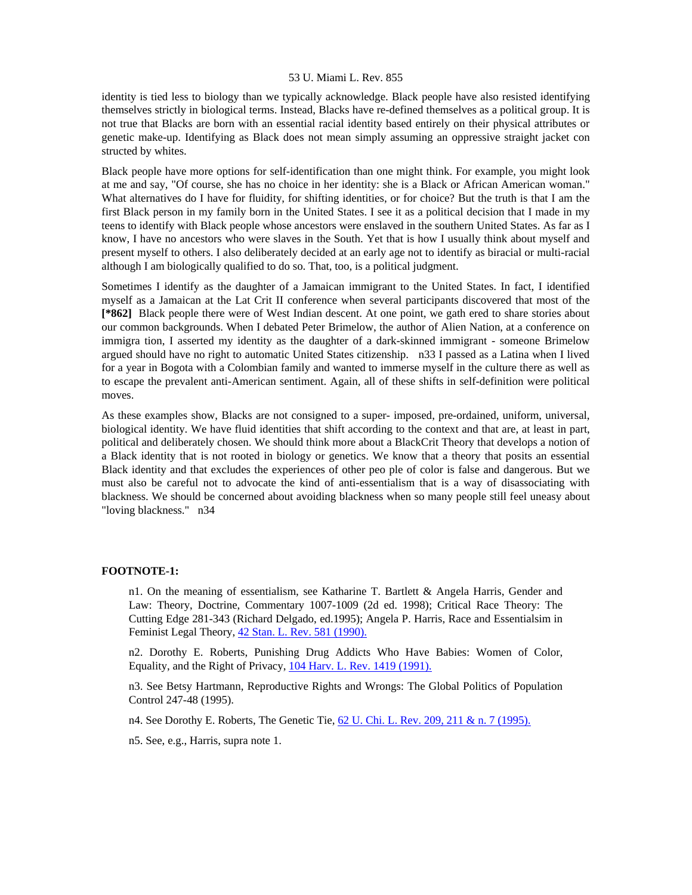identity is tied less to biology than we typically acknowledge. Black people have also resisted identifying themselves strictly in biological terms. Instead, Blacks have re-defined themselves as a political group. It is not true that Blacks are born with an essential racial identity based entirely on their physical attributes or genetic make-up. Identifying as Black does not mean simply assuming an oppressive straight jacket con structed by whites.

Black people have more options for self-identification than one might think. For example, you might look at me and say, "Of course, she has no choice in her identity: she is a Black or African American woman." What alternatives do I have for fluidity, for shifting identities, or for choice? But the truth is that I am the first Black person in my family born in the United States. I see it as a political decision that I made in my teens to identify with Black people whose ancestors were enslaved in the southern United States. As far as I know, I have no ancestors who were slaves in the South. Yet that is how I usually think about myself and present myself to others. I also deliberately decided at an early age not to identify as biracial or multi-racial although I am biologically qualified to do so. That, too, is a political judgment.

Sometimes I identify as the daughter of a Jamaican immigrant to the United States. In fact, I identified myself as a Jamaican at the Lat Crit II conference when several participants discovered that most of the **[\*862]** Black people there were of West Indian descent. At one point, we gath ered to share stories about our common backgrounds. When I debated Peter Brimelow, the author of Alien Nation, at a conference on immigra tion, I asserted my identity as the daughter of a dark-skinned immigrant - someone Brimelow argued should have no right to automatic United States citizenship. n33 I passed as a Latina when I lived for a year in Bogota with a Colombian family and wanted to immerse myself in the culture there as well as to escape the prevalent anti-American sentiment. Again, all of these shifts in self-definition were political moves.

As these examples show, Blacks are not consigned to a super- imposed, pre-ordained, uniform, universal, biological identity. We have fluid identities that shift according to the context and that are, at least in part, political and deliberately chosen. We should think more about a BlackCrit Theory that develops a notion of a Black identity that is not rooted in biology or genetics. We know that a theory that posits an essential Black identity and that excludes the experiences of other peo ple of color is false and dangerous. But we must also be careful not to advocate the kind of anti-essentialism that is a way of disassociating with blackness. We should be concerned about avoiding blackness when so many people still feel uneasy about "loving blackness." n34

# **FOOTNOTE-1:**

n1. On the meaning of essentialism, see Katharine T. Bartlett & Angela Harris, Gender and Law: Theory, Doctrine, Commentary 1007-1009 (2d ed. 1998); Critical Race Theory: The Cutting Edge 281-343 (Richard Delgado, ed.1995); Angela P. Harris, Race and Essentialsim in Feminist Legal Theory, [42 Stan. L. Rev. 581 \(1990\).](http://www.lexis.com/research/xlink?searchtype=get&search=42%20Stan.%20L.%20Rev.%20581)

n2. Dorothy E. Roberts, Punishing Drug Addicts Who Have Babies: Women of Color, Equality, and the Right of Privacy, [104 Harv. L. Rev. 1419 \(1991\).](http://www.lexis.com/research/xlink?searchtype=get&search=104%20Harv.%20L.%20Rev.%201419)

n3. See Betsy Hartmann, Reproductive Rights and Wrongs: The Global Politics of Population Control 247-48 (1995).

n4. See Dorothy E. Roberts, The Genetic Tie, [62 U. Chi. L. Rev. 209, 211 & n. 7 \(1995\).](http://www.lexis.com/research/xlink?searchtype=get&search=62%20U.%20Chi.%20L.%20Rev.%20209,at%20211)

n5. See, e.g., Harris, supra note 1.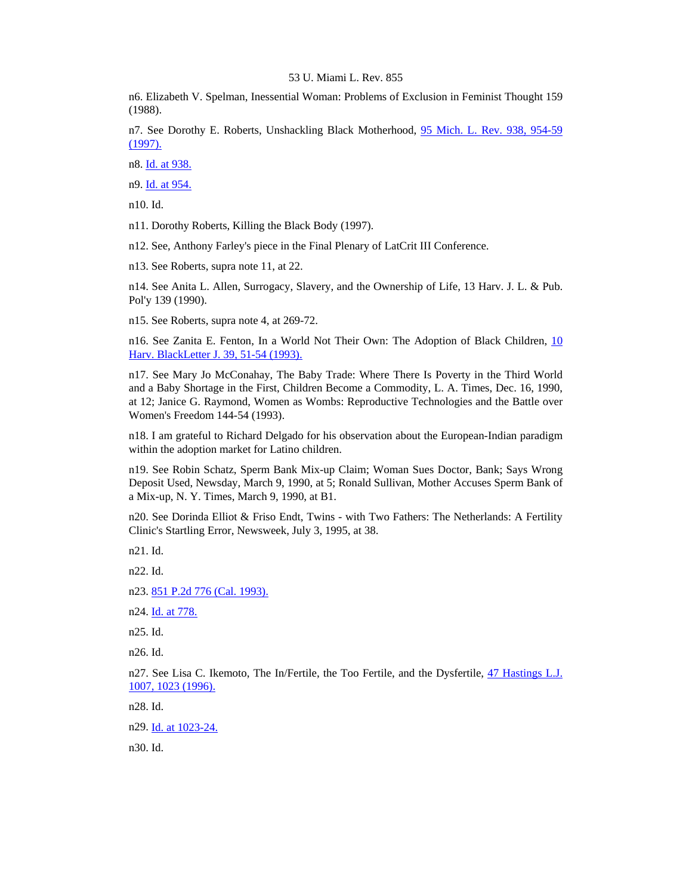n6. Elizabeth V. Spelman, Inessential Woman: Problems of Exclusion in Feminist Thought 159 (1988).

n7. See Dorothy E. Roberts, Unshackling Black Motherhood, 95 Mich. L. Rev. 938, 954-59 [\(1997\).](http://www.lexis.com/research/xlink?searchtype=get&search=95%20Mich.%20L.%20Rev.%20938,at%20954)

n8. [Id. at 938.](http://www.lexis.com/research/xlink?searchtype=get&search=95%20Mich.%20L.%20Rev.%20938)

n9. [Id. at 954.](http://www.lexis.com/research/xlink?searchtype=get&search=95%20Mich.%20L.%20Rev.%20938,at%20954)

n10. Id.

n11. Dorothy Roberts, Killing the Black Body (1997).

n12. See, Anthony Farley's piece in the Final Plenary of LatCrit III Conference.

n13. See Roberts, supra note 11, at 22.

n14. See Anita L. Allen, Surrogacy, Slavery, and the Ownership of Life, 13 Harv. J. L. & Pub. Pol'y 139 (1990).

n15. See Roberts, supra note 4, at 269-72.

n16. See Zanita E. Fenton, In a World Not Their Own: The Adoption of Black Children, [10](http://www.lexis.com/research/xlink?searchtype=get&search=10%20Harv.%20BlackLetter%20J.%2039,at%2051)  [Harv. BlackLetter J. 39, 51-54 \(1993\).](http://www.lexis.com/research/xlink?searchtype=get&search=10%20Harv.%20BlackLetter%20J.%2039,at%2051)

n17. See Mary Jo McConahay, The Baby Trade: Where There Is Poverty in the Third World and a Baby Shortage in the First, Children Become a Commodity, L. A. Times, Dec. 16, 1990, at 12; Janice G. Raymond, Women as Wombs: Reproductive Technologies and the Battle over Women's Freedom 144-54 (1993).

n18. I am grateful to Richard Delgado for his observation about the European-Indian paradigm within the adoption market for Latino children.

n19. See Robin Schatz, Sperm Bank Mix-up Claim; Woman Sues Doctor, Bank; Says Wrong Deposit Used, Newsday, March 9, 1990, at 5; Ronald Sullivan, Mother Accuses Sperm Bank of a Mix-up, N. Y. Times, March 9, 1990, at B1.

n20. See Dorinda Elliot & Friso Endt, Twins - with Two Fathers: The Netherlands: A Fertility Clinic's Startling Error, Newsweek, July 3, 1995, at 38.

n21. Id.

n22. Id.

n23. [851 P.2d 776 \(Cal. 1993\).](http://www.lexis.com/research/xlink?searchtype=get&search=851%20P.2d%20776)

n24. [Id. at 778.](http://www.lexis.com/research/xlink?searchtype=get&search=851%20P.2d%20776,at%20778)

n25. Id.

n26. Id.

n27. See Lisa C. Ikemoto, The In/Fertile, the Too Fertile, and the Dysfertile, 47 Hastings L.J. [1007, 1023 \(1996\).](http://www.lexis.com/research/xlink?searchtype=get&search=47%20Hastings%20L.J.%201007,at%201023)

n28. Id.

n29. [Id. at 1023-24.](http://www.lexis.com/research/xlink?searchtype=get&search=47%20Hastings%20L.J.%201007,at%201023)

n30. Id.